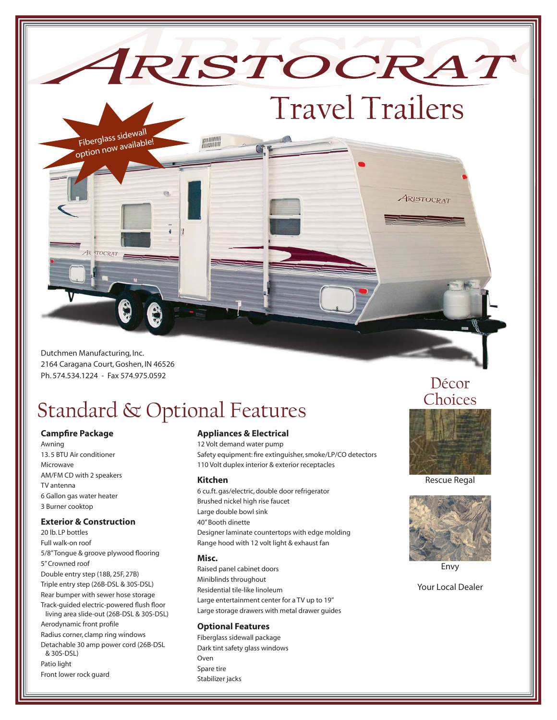Dutchmen Manufacturing, Inc. 2164 Caragana Court, Goshen, IN 46526 Ph. 574.534.1224 - Fax 574.975.0592

STOCRAT

Fiberglass sidewall option now available!

## Standard & Optional Features

### **Campfire Package**

Awning 13. 5 BTU Air conditioner Microwave AM/FM CD with 2 speakers TV antenna 6 Gallon gas water heater 3 Burner cooktop

### **Exterior & Construction**

20 lb. LP bottles Full walk-on roof 5/8" Tongue & groove plywood flooring 5" Crowned roof Double entry step (18B, 25F, 27B) Triple entry step (26B-DSL & 30S-DSL) Rear bumper with sewer hose storage Track-guided electric-powered flush floor living area slide-out (26B-DSL & 30S-DSL) Aerodynamic front profile Radius corner, clamp ring windows Detachable 30 amp power cord (26B-DSL & 30S-DSL) Patio light Front lower rock guard

### **Appliances & Electrical**

12 Volt demand water pump Safety equipment: fire extinguisher, smoke/LP/CO detectors 110 Volt duplex interior & exterior receptacles

### **Kitchen**

6 cu.ft. gas/electric, double door refrigerator Brushed nickel high rise faucet Large double bowl sink 40" Booth dinette Designer laminate countertops with edge molding Range hood with 12 volt light & exhaust fan

#### **Misc.**

Raised panel cabinet doors Miniblinds throughout Residential tile-like linoleum Large entertainment center for a TV up to 19" Large storage drawers with metal drawer guides

### **Optional Features**

Fiberglass sidewall package Dark tint safety glass windows Oven Spare tire Stabilizer jacks

## Décor **Choices**

**ARISTOCRAT** 

Travel Trailers

IRISTOCRAT



Rescue Regal



Envy

Your Local Dealer